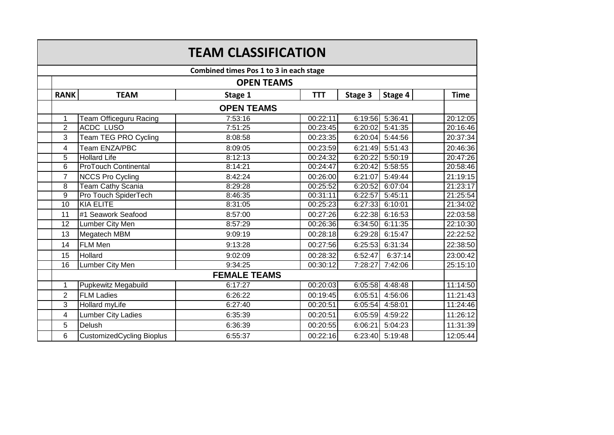|                                         | <b>TEAM CLASSIFICATION</b> |                                  |         |            |         |                 |             |  |  |  |  |
|-----------------------------------------|----------------------------|----------------------------------|---------|------------|---------|-----------------|-------------|--|--|--|--|
| Combined times Pos 1 to 3 in each stage |                            |                                  |         |            |         |                 |             |  |  |  |  |
|                                         |                            | <b>OPEN TEAMS</b>                |         |            |         |                 |             |  |  |  |  |
|                                         | <b>RANK</b>                | <b>TEAM</b>                      | Stage 1 | <b>TTT</b> | Stage 3 | Stage 4         | <b>Time</b> |  |  |  |  |
|                                         | <b>OPEN TEAMS</b>          |                                  |         |            |         |                 |             |  |  |  |  |
|                                         | 1                          | Team Officeguru Racing           | 7:53:16 | 00:22:11   | 6:19:56 | 5:36:41         | 20:12:05    |  |  |  |  |
|                                         | $\overline{2}$             | <b>ACDC LUSO</b>                 | 7:51:25 | 00:23:45   | 6:20:02 | 5:41:35         | 20:16:46    |  |  |  |  |
|                                         | 3                          | Team TEG PRO Cycling             | 8:08:58 | 00:23:35   | 6:20:04 | 5:44:56         | 20:37:34    |  |  |  |  |
|                                         | 4                          | Team ENZA/PBC                    | 8:09:05 | 00:23:59   | 6:21:49 | 5:51:43         | 20:46:36    |  |  |  |  |
|                                         | 5                          | <b>Hollard Life</b>              | 8:12:13 | 00:24:32   | 6:20:22 | 5:50:19         | 20:47:26    |  |  |  |  |
|                                         | 6                          | <b>ProTouch Continental</b>      | 8:14:21 | 00:24:47   | 6:20:42 | 5:58:55         | 20:58:46    |  |  |  |  |
|                                         | $\overline{7}$             | <b>NCCS Pro Cycling</b>          | 8:42:24 | 00:26:00   | 6:21:07 | 5:49:44         | 21:19:15    |  |  |  |  |
|                                         | 8                          | Team Cathy Scania                | 8:29:28 | 00:25:52   | 6:20:52 | 6:07:04         | 21:23:17    |  |  |  |  |
|                                         | 9                          | Pro Touch SpiderTech             | 8:46:35 | 00:31:11   | 6:22:57 | 5:45:11         | 21:25:54    |  |  |  |  |
|                                         | $\overline{10}$            | <b>KIA ELITE</b>                 | 8:31:05 | 00:25:23   | 6:27:33 | 6:10:01         | 21:34:02    |  |  |  |  |
|                                         | 11                         | #1 Seawork Seafood               | 8:57:00 | 00:27:26   | 6:22:38 | 6:16:53         | 22:03:58    |  |  |  |  |
|                                         | $\overline{12}$            | Lumber City Men                  | 8:57:29 | 00:26:36   | 6:34:50 | 6:11:35         | 22:10:30    |  |  |  |  |
|                                         | 13                         | Megatech MBM                     | 9:09:19 | 00:28:18   | 6:29:28 | 6:15:47         | 22:22:52    |  |  |  |  |
|                                         | 14                         | <b>FLM Men</b>                   | 9:13:28 | 00:27:56   | 6:25:53 | 6:31:34         | 22:38:50    |  |  |  |  |
|                                         | 15                         | Hollard                          | 9:02:09 | 00:28:32   | 6:52:47 | 6:37:14         | 23:00:42    |  |  |  |  |
|                                         | $\overline{16}$            | <b>Lumber City Men</b>           | 9:34:25 | 00:30:12   | 7:28:27 | 7:42:06         | 25:15:10    |  |  |  |  |
|                                         | <b>FEMALE TEAMS</b>        |                                  |         |            |         |                 |             |  |  |  |  |
|                                         | $\mathbf{1}$               | <b>Pupkewitz Megabuild</b>       | 6:17:27 | 00:20:03   | 6:05:58 | 4:48:48         | 11:14:50    |  |  |  |  |
|                                         | $\overline{2}$             | <b>FLM Ladies</b>                | 6:26:22 | 00:19:45   | 6:05:51 | 4:56:06         | 11:21:43    |  |  |  |  |
|                                         | 3                          | Hollard myLife                   | 6:27:40 | 00:20:51   | 6:05:54 | 4:58:01         | 11:24:46    |  |  |  |  |
|                                         | 4                          | <b>Lumber City Ladies</b>        | 6:35:39 | 00:20:51   | 6:05:59 | 4:59:22         | 11:26:12    |  |  |  |  |
|                                         | 5                          | Delush                           | 6:36:39 | 00:20:55   | 6:06:21 | 5:04:23         | 11:31:39    |  |  |  |  |
|                                         | 6                          | <b>CustomizedCycling Bioplus</b> | 6:55:37 | 00:22:16   |         | 6:23:40 5:19:48 | 12:05:44    |  |  |  |  |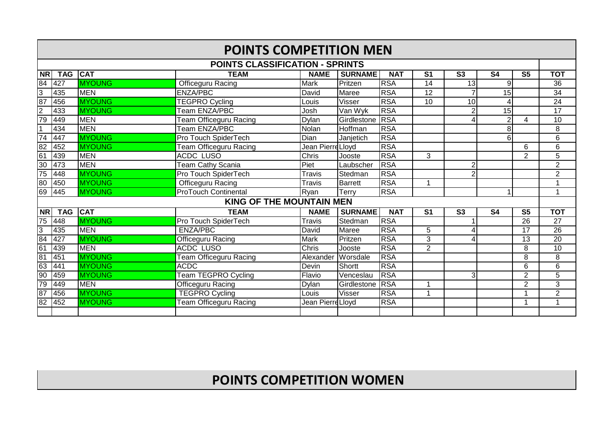| <b>POINTS COMPETITION MEN</b> |                                        |               |                                 |                   |                |            |                           |                        |                          |                        |                 |
|-------------------------------|----------------------------------------|---------------|---------------------------------|-------------------|----------------|------------|---------------------------|------------------------|--------------------------|------------------------|-----------------|
|                               | <b>POINTS CLASSIFICATION - SPRINTS</b> |               |                                 |                   |                |            |                           |                        |                          |                        |                 |
| $\overline{\mathsf{NR}}$      | <b>TAG</b>                             | <b>CAT</b>    | <b>TEAM</b>                     | <b>NAME</b>       | <b>SURNAME</b> | <b>NAT</b> | $\overline{\mathsf{s}}$ 1 | $\overline{\text{S3}}$ | $\overline{\mathsf{S}4}$ | $\overline{\text{S5}}$ | <b>TOT</b>      |
| 84                            | 427                                    | <b>MYOUNG</b> | <b>Officeguru Racing</b>        | Mark              | Pritzen        | <b>RSA</b> | $\overline{14}$           | 13                     | 9                        |                        | $\overline{36}$ |
| ပြ                            | 435                                    | <b>MEN</b>    | <b>ENZA/PBC</b>                 | David             | Maree          | <b>RSA</b> | 12                        | $\overline{7}$         | $\overline{15}$          |                        | 34              |
| 87                            | 456                                    | <b>MYOUNG</b> | <b>TEGPRO Cycling</b>           | Louis             | <b>Visser</b>  | <b>RSA</b> | $\overline{10}$           | $\overline{10}$        | 4                        |                        | $\overline{24}$ |
| $\overline{2}$                | 433                                    | <b>MYOUNG</b> | Team ENZA/PBC                   | Josh              | Van Wyk        | <b>RSA</b> |                           | $\overline{2}$         | 15                       |                        | $\overline{17}$ |
| 79                            | 449                                    | <b>MEN</b>    | <b>Team Officeguru Racing</b>   | Dylan             | Girdlestone    | <b>RSA</b> |                           | 4                      | $\overline{2}$           | 4                      | 10              |
| $\overline{1}$                | 434                                    | <b>MEN</b>    | Team ENZA/PBC                   | Nolan             | Hoffman        | <b>RSA</b> |                           |                        | 8                        |                        | 8               |
| $\overline{74}$               | 447                                    | <b>MYOUNG</b> | Pro Touch SpiderTech            | Dian              | Janjetich      | <b>RSA</b> |                           |                        | 6                        |                        | $\overline{6}$  |
| 82                            | 452                                    | <b>MYOUNG</b> | Team Officeguru Racing          | Jean PierreLloyd  |                | <b>RSA</b> |                           |                        |                          | 6                      | 6               |
| 61                            | 439                                    | <b>MEN</b>    | <b>ACDC LUSO</b>                | Chris             | Jooste         | <b>RSA</b> | 3                         |                        |                          | $\overline{2}$         | $\overline{5}$  |
| 30                            | 473                                    | <b>MEN</b>    | <b>Team Cathy Scania</b>        | Piet              | Laubscher      | <b>RSA</b> |                           | $\overline{2}$         |                          |                        | $\overline{2}$  |
| 75                            | 448                                    | <b>MYOUNG</b> | Pro Touch SpiderTech            | Travis            | Stedman        | <b>RSA</b> |                           | $\overline{2}$         |                          |                        | 2               |
| 80                            | 450                                    | <b>MYOUNG</b> | Officeguru Racing               | Travis            | <b>Barrett</b> | <b>RSA</b> | 1                         |                        |                          |                        | $\overline{ }$  |
| 69                            | 445                                    | <b>MYOUNG</b> | <b>ProTouch Continental</b>     | Ryan              | Terry          | <b>RSA</b> |                           |                        |                          |                        | 1               |
|                               |                                        |               | <b>KING OF THE MOUNTAIN MEN</b> |                   |                |            |                           |                        |                          |                        |                 |
| <b>NR</b>                     | <b>TAG</b>                             | <b>CAT</b>    | <b>TEAM</b>                     | <b>NAME</b>       | <b>SURNAME</b> | <b>NAT</b> | S <sub>1</sub>            | <b>S3</b>              | <b>S4</b>                | <b>S5</b>              | <b>TOT</b>      |
| 75                            | 448                                    | <b>MYOUNG</b> | Pro Touch SpiderTech            | <b>Travis</b>     | Stedman        | <b>RSA</b> |                           |                        |                          | 26                     | 27              |
| 3                             | 435                                    | <b>MEN</b>    | <b>ENZA/PBC</b>                 | David             | Maree          | <b>RSA</b> | 5                         | 4                      |                          | 17                     | 26              |
| 84                            | 427                                    | <b>MYOUNG</b> | <b>Officeguru Racing</b>        | <b>Mark</b>       | Pritzen        | <b>RSA</b> | 3                         | 4                      |                          | 13                     | 20              |
| 61                            | 439                                    | <b>IMEN</b>   | <b>ACDC LUSO</b>                | Chris             | Jooste         | <b>RSA</b> | $\overline{2}$            |                        |                          | 8                      | 10              |
| 81                            | 451                                    | <b>MYOUNG</b> | <b>Team Officeguru Racing</b>   | Alexander         | Worsdale       | <b>RSA</b> |                           |                        |                          | 8                      | 8               |
| 63                            | 441                                    | <b>MYOUNG</b> | <b>ACDC</b>                     | Devin             | Shortt         | <b>RSA</b> |                           |                        |                          | 6                      | 6               |
| 90                            | 459                                    | <b>MYOUNG</b> | <b>Team TEGPRO Cycling</b>      | Flavio            | Venceslau      | <b>RSA</b> |                           | 3                      |                          | $\overline{2}$         | 5               |
| 79                            | 449                                    | MEN           | Officeguru Racing               | Dylan             | Girdlestone    | <b>RSA</b> | 1                         |                        |                          | $\overline{2}$         | $\overline{3}$  |
| 87                            | 456                                    | <b>MYOUNG</b> | <b>TEGPRO Cycling</b>           | Louis             | <b>Visser</b>  | <b>RSA</b> | 1                         |                        |                          | 1                      | $\overline{2}$  |
| $\overline{82}$               | 452                                    | <b>MYOUNG</b> | <b>Team Officeguru Racing</b>   | Jean Pierre Lloyd |                | <b>RSA</b> |                           |                        |                          | 1                      | $\overline{ }$  |
|                               |                                        |               |                                 |                   |                |            |                           |                        |                          |                        |                 |

## **POINTS COMPETITION WOMEN**